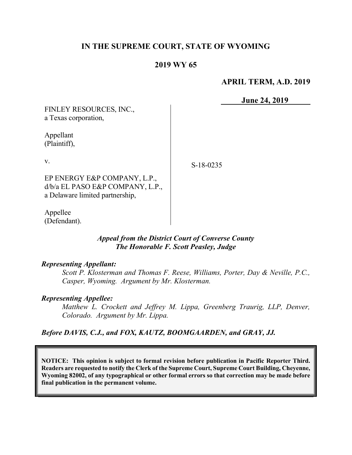# IN THE SUPREME COURT, STATE OF WYOMING

## 2019 WY 65

## APRIL TERM, A.D. 2019

June 24, 2019

FINLEY RESOURCES, INC., a Texas corporation, Appellant (Plaintiff),

v.

EP ENERGY E&P COMPANY, L.P., d/b/a EL PASO E&P COMPANY, L.P., a Delaware limited partnership,

Appellee (Defendant).

> Appeal from the District Court of Converse County The Honorable F. Scott Peasley, Judge

#### Representing Appellant:

Scott P. Klosterman and Thomas F. Reese, Williams, Porter, Day & Neville, P.C., Casper, Wyoming. Argument by Mr. Klosterman.

#### Representing Appellee:

Matthew L. Crockett and Jeffrey M. Lippa, Greenberg Traurig, LLP, Denver, Colorado. Argument by Mr. Lippa.

## Before DAVIS, C.J., and FOX, KAUTZ, BOOMGAARDEN, and GRAY, JJ.

NOTICE: This opinion is subject to formal revision before publication in Pacific Reporter Third. Readers are requested to notify the Clerk of the Supreme Court, Supreme Court Building, Cheyenne, Wyoming 82002, of any typographical or other formal errors so that correction may be made before final publication in the permanent volume.

S-18-0235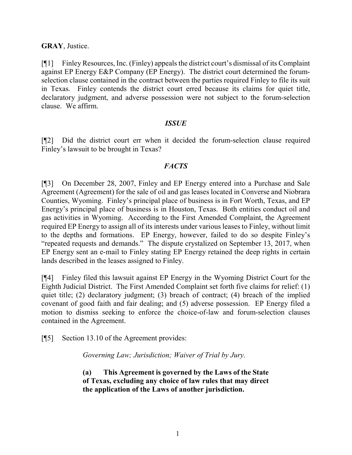## GRAY, Justice.

[¶1] Finley Resources, Inc. (Finley) appeals the district court's dismissal of its Complaint against EP Energy E&P Company (EP Energy). The district court determined the forumselection clause contained in the contract between the parties required Finley to file its suit in Texas. Finley contends the district court erred because its claims for quiet title, declaratory judgment, and adverse possession were not subject to the forum-selection clause. We affirm.

#### **ISSUE**

[¶2] Did the district court err when it decided the forum-selection clause required Finley's lawsuit to be brought in Texas?

## **FACTS**

[¶3] On December 28, 2007, Finley and EP Energy entered into a Purchase and Sale Agreement (Agreement) for the sale of oil and gas leases located in Converse and Niobrara Counties, Wyoming. Finley's principal place of business is in Fort Worth, Texas, and EP Energy's principal place of business is in Houston, Texas. Both entities conduct oil and gas activities in Wyoming. According to the First Amended Complaint, the Agreement required EP Energy to assign all of its interests under various leases to Finley, without limit to the depths and formations. EP Energy, however, failed to do so despite Finley's "repeated requests and demands." The dispute crystalized on September 13, 2017, when EP Energy sent an e-mail to Finley stating EP Energy retained the deep rights in certain lands described in the leases assigned to Finley.

[¶4] Finley filed this lawsuit against EP Energy in the Wyoming District Court for the Eighth Judicial District. The First Amended Complaint set forth five claims for relief: (1) quiet title; (2) declaratory judgment; (3) breach of contract; (4) breach of the implied covenant of good faith and fair dealing; and (5) adverse possession. EP Energy filed a motion to dismiss seeking to enforce the choice-of-law and forum-selection clauses contained in the Agreement.

[¶5] Section 13.10 of the Agreement provides:

Governing Law; Jurisdiction; Waiver of Trial by Jury.

(a) This Agreement is governed by the Laws of the State of Texas, excluding any choice of law rules that may direct the application of the Laws of another jurisdiction.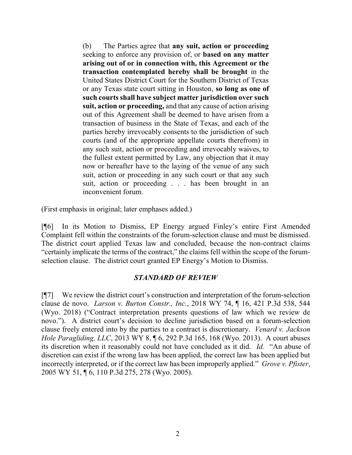(b) The Parties agree that any suit, action or proceeding seeking to enforce any provision of, or based on any matter arising out of or in connection with, this Agreement or the transaction contemplated hereby shall be brought in the United States District Court for the Southern District of Texas or any Texas state court sitting in Houston, so long as one of such courts shall have subject matter jurisdiction over such suit, action or proceeding, and that any cause of action arising out of this Agreement shall be deemed to have arisen from a transaction of business in the State of Texas, and each of the parties hereby irrevocably consents to the jurisdiction of such courts (and of the appropriate appellate courts therefrom) in any such suit, action or proceeding and irrevocably waives, to the fullest extent permitted by Law, any objection that it may now or hereafter have to the laying of the venue of any such suit, action or proceeding in any such court or that any such suit, action or proceeding . . . has been brought in an inconvenient forum.

(First emphasis in original; later emphases added.)

[¶6] In its Motion to Dismiss, EP Energy argued Finley's entire First Amended Complaint fell within the constraints of the forum-selection clause and must be dismissed. The district court applied Texas law and concluded, because the non-contract claims "certainly implicate the terms of the contract," the claims fell within the scope of the forumselection clause. The district court granted EP Energy's Motion to Dismiss.

#### STANDARD OF REVIEW

[¶7] We review the district court's construction and interpretation of the forum-selection clause de novo. Larson v. Burton Constr., Inc., 2018 WY 74, ¶ 16, 421 P.3d 538, 544 (Wyo. 2018) ("Contract interpretation presents questions of law which we review de novo."). A district court's decision to decline jurisdiction based on a forum-selection clause freely entered into by the parties to a contract is discretionary. Venard v. Jackson Hole Paragliding, LLC, 2013 WY 8, ¶ 6, 292 P.3d 165, 168 (Wyo. 2013). A court abuses its discretion when it reasonably could not have concluded as it did. Id. "An abuse of discretion can exist if the wrong law has been applied, the correct law has been applied but incorrectly interpreted, or if the correct law has been improperly applied." Grove v. Pfister, 2005 WY 51, ¶ 6, 110 P.3d 275, 278 (Wyo. 2005).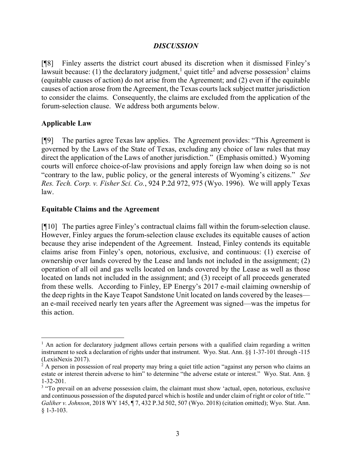### **DISCUSSION**

[¶8] Finley asserts the district court abused its discretion when it dismissed Finley's lawsuit because: (1) the declaratory judgment,<sup>1</sup> quiet title<sup>2</sup> and adverse possession<sup>3</sup> claims (equitable causes of action) do not arise from the Agreement; and (2) even if the equitable causes of action arose from the Agreement, the Texas courts lack subject matter jurisdiction to consider the claims. Consequently, the claims are excluded from the application of the forum-selection clause. We address both arguments below.

## Applicable Law

 $\overline{a}$ 

[¶9] The parties agree Texas law applies. The Agreement provides: "This Agreement is governed by the Laws of the State of Texas, excluding any choice of law rules that may direct the application of the Laws of another jurisdiction." (Emphasis omitted.) Wyoming courts will enforce choice-of-law provisions and apply foreign law when doing so is not "contrary to the law, public policy, or the general interests of Wyoming's citizens." See Res. Tech. Corp. v. Fisher Sci. Co., 924 P.2d 972, 975 (Wyo. 1996). We will apply Texas law.

#### Equitable Claims and the Agreement

[¶10] The parties agree Finley's contractual claims fall within the forum-selection clause. However, Finley argues the forum-selection clause excludes its equitable causes of action because they arise independent of the Agreement. Instead, Finley contends its equitable claims arise from Finley's open, notorious, exclusive, and continuous: (1) exercise of ownership over lands covered by the Lease and lands not included in the assignment; (2) operation of all oil and gas wells located on lands covered by the Lease as well as those located on lands not included in the assignment; and (3) receipt of all proceeds generated from these wells. According to Finley, EP Energy's 2017 e-mail claiming ownership of the deep rights in the Kaye Teapot Sandstone Unit located on lands covered by the leases an e-mail received nearly ten years after the Agreement was signed—was the impetus for this action.

<sup>&</sup>lt;sup>1</sup> An action for declaratory judgment allows certain persons with a qualified claim regarding a written instrument to seek a declaration of rights under that instrument. Wyo. Stat. Ann. §§ 1-37-101 through -115 (LexisNexis 2017).

<sup>&</sup>lt;sup>2</sup> A person in possession of real property may bring a quiet title action "against any person who claims an estate or interest therein adverse to him" to determine "the adverse estate or interest." Wyo. Stat. Ann. § 1-32-201.

<sup>&</sup>lt;sup>3</sup> "To prevail on an adverse possession claim, the claimant must show 'actual, open, notorious, exclusive and continuous possession of the disputed parcel which is hostile and under claim of right or color of title.'" Galiher v. Johnson, 2018 WY 145, ¶ 7, 432 P.3d 502, 507 (Wyo. 2018) (citation omitted); Wyo. Stat. Ann. § 1-3-103.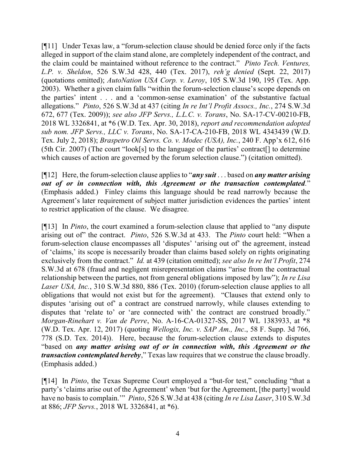[¶11] Under Texas law, a "forum-selection clause should be denied force only if the facts alleged in support of the claim stand alone, are completely independent of the contract, and the claim could be maintained without reference to the contract." Pinto Tech. Ventures, L.P. v. Sheldon, 526 S.W.3d 428, 440 (Tex. 2017), reh'g denied (Sept. 22, 2017) (quotations omitted); AutoNation USA Corp. v. Leroy, 105 S.W.3d 190, 195 (Tex. App. 2003). Whether a given claim falls "within the forum-selection clause's scope depends on the parties' intent . . . and a 'common-sense examination' of the substantive factual allegations." Pinto, 526 S.W.3d at 437 (citing In re Int'l Profit Assocs., Inc., 274 S.W.3d 672, 677 (Tex. 2009)); see also JFP Servs., L.L.C. v. Torans, No. SA-17-CV-00210-FB, 2018 WL 3326841, at \*6 (W.D. Tex. Apr. 30, 2018), report and recommendation adopted sub nom. JFP Servs., LLC v. Torans, No. SA-17-CA-210-FB, 2018 WL 4343439 (W.D. Tex. July 2, 2018); Braspetro Oil Servs. Co. v. Modec (USA), Inc., 240 F. App'x 612, 616 (5th Cir. 2007) (The court "look[s] to the language of the parties' contract[] to determine which causes of action are governed by the forum selection clause.") (citation omitted).

[ $[$ [12] Here, the forum-selection clause applies to "*any suit* . . . based on *any matter arising* out of or in connection with, this Agreement or the transaction contemplated." (Emphasis added.) Finley claims this language should be read narrowly because the Agreement's later requirement of subject matter jurisdiction evidences the parties' intent to restrict application of the clause. We disagree.

[¶13] In Pinto, the court examined a forum-selection clause that applied to "any dispute arising out of" the contract. Pinto, 526 S.W.3d at 433. The Pinto court held: "When a forum-selection clause encompasses all 'disputes' 'arising out of' the agreement, instead of 'claims,' its scope is necessarily broader than claims based solely on rights originating exclusively from the contract." Id. at 439 (citation omitted); see also In re Int'l Profit, 274 S.W.3d at 678 (fraud and negligent misrepresentation claims "arise from the contractual relationship between the parties, not from general obligations imposed by law"); In re Lisa Laser USA, Inc., 310 S.W.3d 880, 886 (Tex. 2010) (forum-selection clause applies to all obligations that would not exist but for the agreement). "Clauses that extend only to disputes 'arising out of' a contract are construed narrowly, while clauses extending to disputes that 'relate to' or 'are connected with' the contract are construed broadly." Morgan-Rinehart v. Van de Perre, No. A-16-CA-01327-SS, 2017 WL 1383933, at \*8 (W.D. Tex. Apr. 12, 2017) (quoting Wellogix, Inc. v. SAP Am., Inc., 58 F. Supp. 3d 766, 778 (S.D. Tex. 2014)). Here, because the forum-selection clause extends to disputes "based on any matter arising out of or in connection with, this Agreement or the transaction contemplated hereby," Texas law requires that we construe the clause broadly. (Emphasis added.)

[¶14] In Pinto, the Texas Supreme Court employed a "but-for test," concluding "that a party's 'claims arise out of the Agreement' when 'but for the Agreement, [the party] would have no basis to complain." Pinto, 526 S.W.3d at 438 (citing In re Lisa Laser, 310 S.W.3d at 886; JFP Servs., 2018 WL 3326841, at \*6).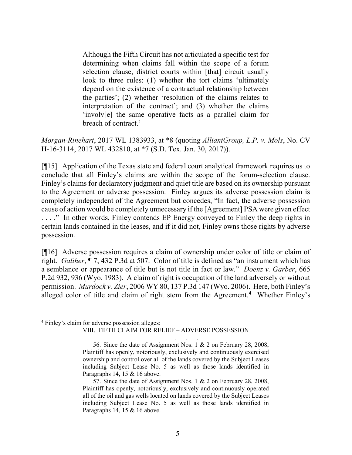Although the Fifth Circuit has not articulated a specific test for determining when claims fall within the scope of a forum selection clause, district courts within [that] circuit usually look to three rules: (1) whether the tort claims 'ultimately depend on the existence of a contractual relationship between the parties'; (2) whether 'resolution of the claims relates to interpretation of the contract'; and (3) whether the claims 'involv[e] the same operative facts as a parallel claim for breach of contract.'

Morgan-Rinehart, 2017 WL 1383933, at \*8 (quoting *AlliantGroup, L.P. v. Mols*, No. CV H-16-3114, 2017 WL 432810, at \*7 (S.D. Tex. Jan. 30, 2017)).

[¶15] Application of the Texas state and federal court analytical framework requires us to conclude that all Finley's claims are within the scope of the forum-selection clause. Finley's claims for declaratory judgment and quiet title are based on its ownership pursuant to the Agreement or adverse possession. Finley argues its adverse possession claim is completely independent of the Agreement but concedes, "In fact, the adverse possession cause of action would be completely unnecessary if the [Agreement] PSA were given effect ...." In other words, Finley contends EP Energy conveyed to Finley the deep rights in certain lands contained in the leases, and if it did not, Finley owns those rights by adverse possession.

[¶16] Adverse possession requires a claim of ownership under color of title or claim of right. Galiher, ¶ 7, 432 P.3d at 507. Color of title is defined as "an instrument which has a semblance or appearance of title but is not title in fact or law." *Doenz v. Garber*, 665 P.2d 932, 936 (Wyo. 1983). A claim of right is occupation of the land adversely or without permission. Murdock v. Zier, 2006 WY 80, 137 P.3d 147 (Wyo. 2006). Here, both Finley's alleged color of title and claim of right stem from the Agreement.<sup>4</sup> Whether Finley's

 $\overline{a}$ 

. . .

<sup>4</sup> Finley's claim for adverse possession alleges:

VIII. FIFTH CLAIM FOR RELIEF – ADVERSE POSSESSION

 <sup>56.</sup> Since the date of Assignment Nos. 1 & 2 on February 28, 2008, Plaintiff has openly, notoriously, exclusively and continuously exercised ownership and control over all of the lands covered by the Subject Leases including Subject Lease No. 5 as well as those lands identified in Paragraphs 14, 15 & 16 above.

 <sup>57.</sup> Since the date of Assignment Nos. 1 & 2 on February 28, 2008, Plaintiff has openly, notoriously, exclusively and continuously operated all of the oil and gas wells located on lands covered by the Subject Leases including Subject Lease No. 5 as well as those lands identified in Paragraphs 14, 15 & 16 above.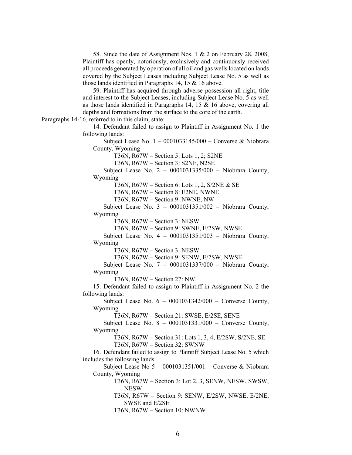58. Since the date of Assignment Nos. 1 & 2 on February 28, 2008, Plaintiff has openly, notoriously, exclusively and continuously received all proceeds generated by operation of all oil and gas wells located on lands covered by the Subject Leases including Subject Lease No. 5 as well as those lands identified in Paragraphs 14, 15 & 16 above.

 59. Plaintiff has acquired through adverse possession all right, title and interest to the Subject Leases, including Subject Lease No. 5 as well as those lands identified in Paragraphs 14, 15 & 16 above, covering all depths and formations from the surface to the core of the earth.

Paragraphs 14-16, referred to in this claim, state:

 $\overline{a}$ 

 14. Defendant failed to assign to Plaintiff in Assignment No. 1 the following lands:

 Subject Lease No. 1 – 0001033145/000 – Converse & Niobrara County, Wyoming

T36N, R67W – Section 5: Lots 1, 2; S2NE

T36N, R67W – Section 3: S2NE, N2SE

 Subject Lease No. 2 – 0001031335/000 – Niobrara County, Wyoming

T36N, R67W – Section 6: Lots 1, 2, S/2NE & SE

T36N, R67W – Section 8: E2NE, NWNE

T36N, R67W – Section 9: NWNE, NW

 Subject Lease No. 3 – 0001031351/002 – Niobrara County, Wyoming

T36N, R67W – Section 3: NESW

T36N, R67W – Section 9: SWNE, E/2SW, NWSE

 Subject Lease No. 4 – 0001031351/003 – Niobrara County, Wyoming

T36N, R67W – Section 3: NESW

T36N, R67W – Section 9: SENW, E/2SW, NWSE

 Subject Lease No. 7 – 0001031337/000 – Niobrara County, Wyoming

T36N, R67W – Section 27: NW

 15. Defendant failed to assign to Plaintiff in Assignment No. 2 the following lands:

 Subject Lease No. 6 – 0001031342/000 – Converse County, Wyoming

T36N, R67W – Section 21: SWSE, E/2SE, SENE

 Subject Lease No. 8 – 0001031331/000 – Converse County, Wyoming

T36N, R67W – Section 31: Lots 1, 3, 4, E/2SW, S/2NE, SE T36N, R67W – Section 32: SWNW

 16. Defendant failed to assign to Plaintiff Subject Lease No. 5 which includes the following lands:

 Subject Lease No 5 – 0001031351/001 – Converse & Niobrara County, Wyoming

> T36N, R67W – Section 3: Lot 2, 3, SENW, NESW, SWSW, NESW

> T36N, R67W – Section 9: SENW, E/2SW, NWSE, E/2NE, SWSE and E/2SE

T36N, R67W – Section 10: NWNW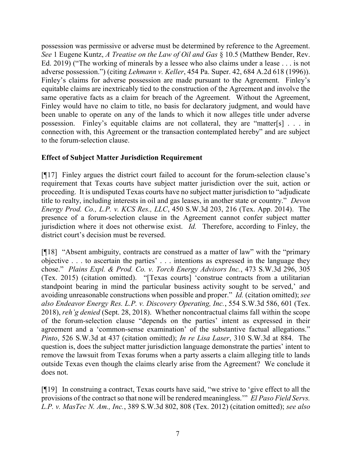possession was permissive or adverse must be determined by reference to the Agreement. See 1 Eugene Kuntz, A Treatise on the Law of Oil and Gas § 10.5 (Matthew Bender, Rev. Ed. 2019) ("The working of minerals by a lessee who also claims under a lease . . . is not adverse possession.") (citing Lehmann v. Keller, 454 Pa. Super. 42, 684 A.2d 618 (1996)). Finley's claims for adverse possession are made pursuant to the Agreement. Finley's equitable claims are inextricably tied to the construction of the Agreement and involve the same operative facts as a claim for breach of the Agreement. Without the Agreement, Finley would have no claim to title, no basis for declaratory judgment, and would have been unable to operate on any of the lands to which it now alleges title under adverse possession. Finley's equitable claims are not collateral, they are "matter[s] . . . in connection with, this Agreement or the transaction contemplated hereby" and are subject to the forum-selection clause.

## Effect of Subject Matter Jurisdiction Requirement

[¶17] Finley argues the district court failed to account for the forum-selection clause's requirement that Texas courts have subject matter jurisdiction over the suit, action or proceeding. It is undisputed Texas courts have no subject matter jurisdiction to "adjudicate title to realty, including interests in oil and gas leases, in another state or country." Devon Energy Prod. Co., L.P. v. KCS Res., LLC, 450 S.W.3d 203, 216 (Tex. App. 2014). The presence of a forum-selection clause in the Agreement cannot confer subject matter jurisdiction where it does not otherwise exist. Id. Therefore, according to Finley, the district court's decision must be reversed.

[¶18] "Absent ambiguity, contracts are construed as a matter of law" with the "primary objective . . . to ascertain the parties' . . . intentions as expressed in the language they chose." Plains Expl. & Prod. Co. v. Torch Energy Advisors Inc., 473 S.W.3d 296, 305 (Tex. 2015) (citation omitted). "[Texas courts] 'construe contracts from a utilitarian standpoint bearing in mind the particular business activity sought to be served,' and avoiding unreasonable constructions when possible and proper." Id. (citation omitted); see also Endeavor Energy Res. L.P. v. Discovery Operating, Inc., 554 S.W.3d 586, 601 (Tex. 2018), reh'g denied (Sept. 28, 2018). Whether noncontractual claims fall within the scope of the forum-selection clause "depends on the parties' intent as expressed in their agreement and a 'common-sense examination' of the substantive factual allegations." Pinto, 526 S.W.3d at 437 (citation omitted); In re Lisa Laser, 310 S.W.3d at 884. The question is, does the subject matter jurisdiction language demonstrate the parties' intent to remove the lawsuit from Texas forums when a party asserts a claim alleging title to lands outside Texas even though the claims clearly arise from the Agreement? We conclude it does not.

[¶19] In construing a contract, Texas courts have said, "we strive to 'give effect to all the provisions of the contract so that none will be rendered meaningless.'" El Paso Field Servs. L.P. v. MasTec N. Am., Inc., 389 S.W.3d 802, 808 (Tex. 2012) (citation omitted); see also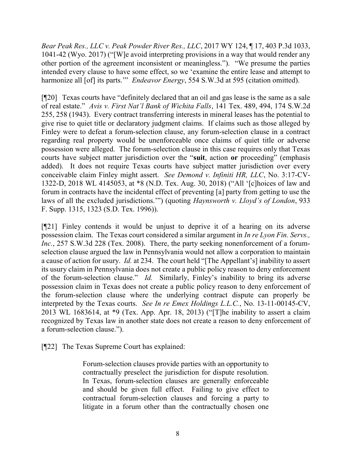Bear Peak Res., LLC v. Peak Powder River Res., LLC, 2017 WY 124, ¶ 17, 403 P.3d 1033, 1041-42 (Wyo. 2017) ("[W]e avoid interpreting provisions in a way that would render any other portion of the agreement inconsistent or meaningless."). "We presume the parties intended every clause to have some effect, so we 'examine the entire lease and attempt to harmonize all [of] its parts."" Endeavor Energy, 554 S.W.3d at 595 (citation omitted).

[¶20] Texas courts have "definitely declared that an oil and gas lease is the same as a sale of real estate." Avis v. First Nat'l Bank of Wichita Falls, 141 Tex. 489, 494, 174 S.W.2d 255, 258 (1943). Every contract transferring interests in mineral leases has the potential to give rise to quiet title or declaratory judgment claims. If claims such as those alleged by Finley were to defeat a forum-selection clause, any forum-selection clause in a contract regarding real property would be unenforceable once claims of quiet title or adverse possession were alleged. The forum-selection clause in this case requires only that Texas courts have subject matter jurisdiction over the "suit, action or proceeding" (emphasis added). It does not require Texas courts have subject matter jurisdiction over every conceivable claim Finley might assert. See Demond v. Infiniti HR, LLC, No. 3:17-CV-1322-D, 2018 WL 4145053, at \*8 (N.D. Tex. Aug. 30, 2018) ("All '[c]hoices of law and forum in contracts have the incidental effect of preventing [a] party from getting to use the laws of all the excluded jurisdictions."") (quoting Haynsworth v. Lloyd's of London, 933 F. Supp. 1315, 1323 (S.D. Tex. 1996)).

[¶21] Finley contends it would be unjust to deprive it of a hearing on its adverse possession claim. The Texas court considered a similar argument in In re Lyon Fin. Servs., Inc., 257 S.W.3d 228 (Tex. 2008). There, the party seeking nonenforcement of a forumselection clause argued the law in Pennsylvania would not allow a corporation to maintain a cause of action for usury. Id. at 234. The court held "[The Appellant's] inability to assert its usury claim in Pennsylvania does not create a public policy reason to deny enforcement of the forum-selection clause." Id. Similarly, Finley's inability to bring its adverse possession claim in Texas does not create a public policy reason to deny enforcement of the forum-selection clause where the underlying contract dispute can properly be interpreted by the Texas courts. See In re Emex Holdings L.L.C., No. 13-11-00145-CV, 2013 WL 1683614, at \*9 (Tex. App. Apr. 18, 2013) ("[T]he inability to assert a claim recognized by Texas law in another state does not create a reason to deny enforcement of a forum-selection clause.").

[¶22] The Texas Supreme Court has explained:

Forum-selection clauses provide parties with an opportunity to contractually preselect the jurisdiction for dispute resolution. In Texas, forum-selection clauses are generally enforceable and should be given full effect. Failing to give effect to contractual forum-selection clauses and forcing a party to litigate in a forum other than the contractually chosen one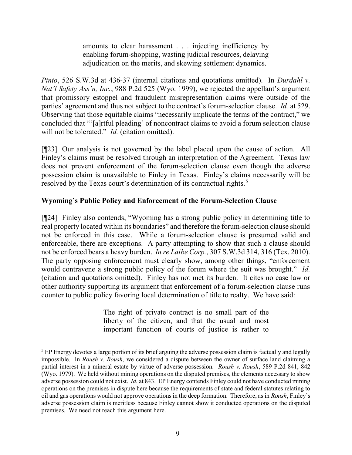amounts to clear harassment . . . injecting inefficiency by enabling forum-shopping, wasting judicial resources, delaying adjudication on the merits, and skewing settlement dynamics.

Pinto, 526 S.W.3d at 436-37 (internal citations and quotations omitted). In Durdahl v. Nat'l Safety Ass'n, Inc., 988 P.2d 525 (Wyo. 1999), we rejected the appellant's argument that promissory estoppel and fraudulent misrepresentation claims were outside of the parties' agreement and thus not subject to the contract's forum-selection clause. Id. at 529. Observing that those equitable claims "necessarily implicate the terms of the contract," we concluded that "'[a]rtful pleading' of noncontract claims to avoid a forum selection clause will not be tolerated." *Id.* (citation omitted).

[¶23] Our analysis is not governed by the label placed upon the cause of action. All Finley's claims must be resolved through an interpretation of the Agreement. Texas law does not prevent enforcement of the forum-selection clause even though the adverse possession claim is unavailable to Finley in Texas. Finley's claims necessarily will be resolved by the Texas court's determination of its contractual rights.<sup>5</sup>

# Wyoming's Public Policy and Enforcement of the Forum-Selection Clause

[¶24] Finley also contends, "Wyoming has a strong public policy in determining title to real property located within its boundaries" and therefore the forum-selection clause should not be enforced in this case. While a forum-selection clause is presumed valid and enforceable, there are exceptions. A party attempting to show that such a clause should not be enforced bears a heavy burden. In re Laibe Corp., 307 S.W.3d 314, 316 (Tex. 2010). The party opposing enforcement must clearly show, among other things, "enforcement would contravene a strong public policy of the forum where the suit was brought." Id. (citation and quotations omitted). Finley has not met its burden. It cites no case law or other authority supporting its argument that enforcement of a forum-selection clause runs counter to public policy favoring local determination of title to realty. We have said:

> The right of private contract is no small part of the liberty of the citizen, and that the usual and most important function of courts of justice is rather to

 $\overline{a}$ 

 $<sup>5</sup>$  EP Energy devotes a large portion of its brief arguing the adverse possession claim is factually and legally</sup> impossible. In Roush v. Roush, we considered a dispute between the owner of surface land claiming a partial interest in a mineral estate by virtue of adverse possession. Roush v. Roush, 589 P.2d 841, 842 (Wyo. 1979). We held without mining operations on the disputed premises, the elements necessary to show adverse possession could not exist. Id. at 843. EP Energy contends Finley could not have conducted mining operations on the premises in dispute here because the requirements of state and federal statutes relating to oil and gas operations would not approve operations in the deep formation. Therefore, as in Roush, Finley's adverse possession claim is meritless because Finley cannot show it conducted operations on the disputed premises. We need not reach this argument here.